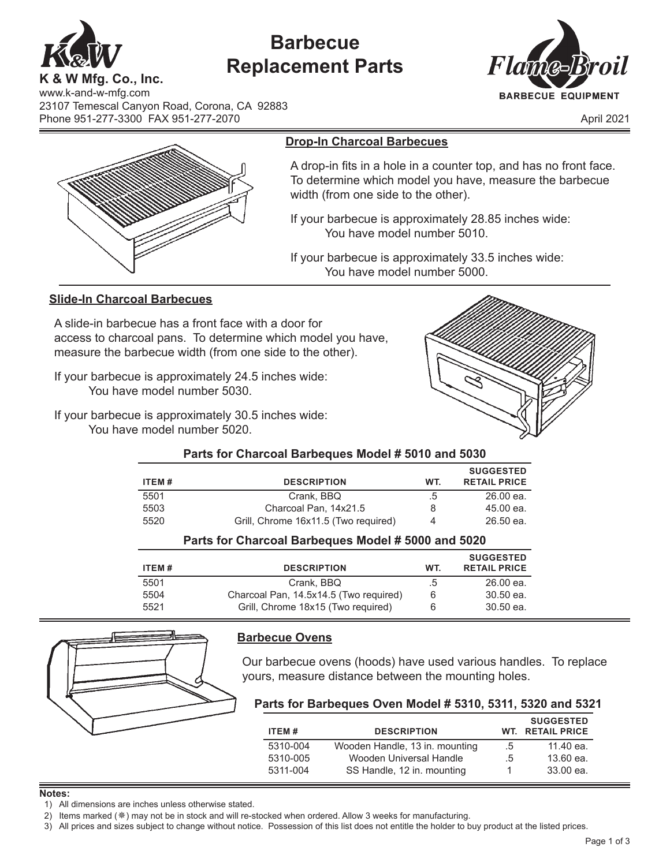

# **Barbecue Replacement Parts**



**K & W Mfg. Co., Inc.** www.k-and-w-mfg.com 23107 Temescal Canyon Road, Corona, CA 92883 Phone 951-277-3300 FAX 951-277-2070 April 2021



# **Drop-In Charcoal Barbecues**

A drop-in fits in a hole in a counter top, and has no front face. To determine which model you have, measure the barbecue width (from one side to the other).

If your barbecue is approximately 28.85 inches wide: You have model number 5010.

If your barbecue is approximately 33.5 inches wide: You have model number 5000.

# **Slide-In Charcoal Barbecues**

A slide-in barbecue has a front face with a door for access to charcoal pans. To determine which model you have, measure the barbecue width (from one side to the other).

If your barbecue is approximately 24.5 inches wide: You have model number 5030.

If your barbecue is approximately 30.5 inches wide: You have model number 5020.



## **Parts for Charcoal Barbeques Model # 5010 and 5030**

|       |                                      |     | <b>SUGGESTED</b>    |
|-------|--------------------------------------|-----|---------------------|
| ITEM# | <b>DESCRIPTION</b>                   | WT. | <b>RETAIL PRICE</b> |
| 5501  | Crank, BBQ                           | .5  | $26.00$ ea.         |
| 5503  | Charcoal Pan. 14x21.5                | 8   | 45.00 ea.           |
| 5520  | Grill, Chrome 16x11.5 (Two required) | 4   | $26.50$ ea.         |

# **Parts for Charcoal Barbeques Model # 5000 and 5020**

| ITEM# | <b>DESCRIPTION</b>                     | WT. | <b>SUGGESTED</b><br><b>RETAIL PRICE</b> |
|-------|----------------------------------------|-----|-----------------------------------------|
| 5501  | Crank, BBQ                             | .5  | $26.00$ ea.                             |
| 5504  | Charcoal Pan, 14.5x14.5 (Two required) | 6   | 30.50 ea.                               |
| 5521  | Grill, Chrome 18x15 (Two required)     | 6   | 30.50 ea.                               |



# **Barbecue Ovens**

Our barbecue ovens (hoods) have used various handles. To replace yours, measure distance between the mounting holes.

## **Parts for Barbeques Oven Model # 5310, 5311, 5320 and 5321**

| ITEM#    | <b>DESCRIPTION</b>             |              | <b>SUGGESTED</b><br><b>WT. RETAIL PRICE</b> |
|----------|--------------------------------|--------------|---------------------------------------------|
| 5310-004 | Wooden Handle, 13 in. mounting | $\cdot 5$    | 11.40 ea.                                   |
| 5310-005 | Wooden Universal Handle        | $.5^{\circ}$ | 13.60 ea.                                   |
| 5311-004 | SS Handle, 12 in. mounting     |              | 33.00 ea.                                   |

#### **Notes:**

1) All dimensions are inches unless otherwise stated.

3) All prices and sizes subject to change without notice. Possession of this list does not entitle the holder to buy product at the listed prices.

<sup>2)</sup> Items marked ( $*$ ) may not be in stock and will re-stocked when ordered. Allow 3 weeks for manufacturing.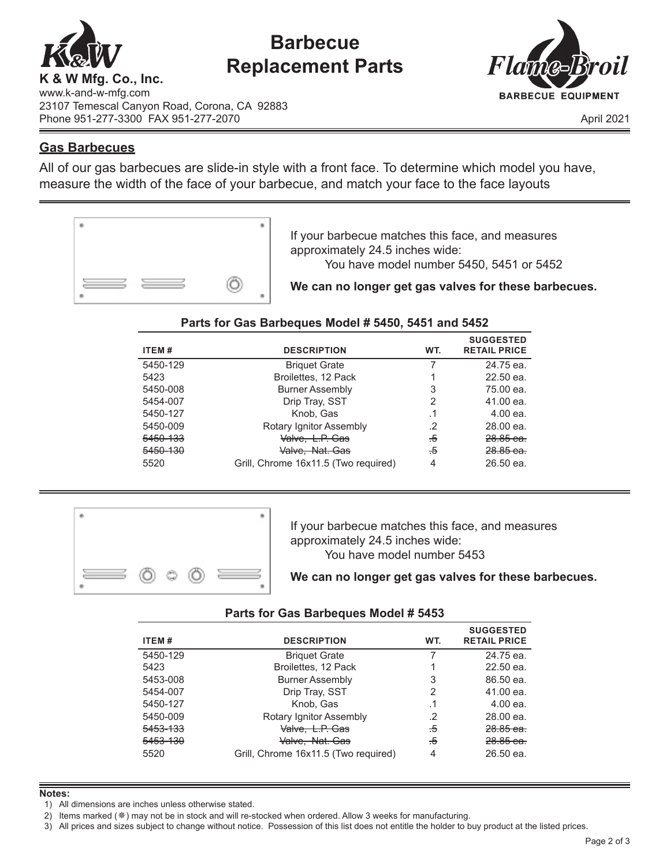

# **Barbecue Replacement Parts**



www.k-and-w-mfg.com 23107 Temescal Canyon Road, Corona, CA 92883 Phone 951-277-3300 FAX 951-277-2070 April 2021

# **Gas Barbecues**

All of our gas barbecues are slide-in style with a front face. To determine which model you have, measure the width of the face of your barbecue, and match your face to the face layouts



If your barbecue matches this face, and measures approximately 24.5 inches wide: You have model number 5450, 5451 or 5452

**We can no longer get gas valves for these barbecues.**

# **Parts for Gas Barbeques Model # 5450, 5451 and 5452**

| ITEM#    | <b>DESCRIPTION</b>                   | WT.    | <b>SUGGESTED</b><br><b>RETAIL PRICE</b> |
|----------|--------------------------------------|--------|-----------------------------------------|
| 5450-129 | <b>Briquet Grate</b>                 |        | 24.75 ea.                               |
| 5423     | Broilettes, 12 Pack                  |        | $22.50$ ea.                             |
| 5450-008 | <b>Burner Assembly</b>               | 3      | 75.00 ea.                               |
| 5454-007 | Drip Tray, SST                       | 2      | 41.00 ea.                               |
| 5450-127 | Knob, Gas                            | . 1    | $4.00$ ea.                              |
| 5450-009 | Rotary Ignitor Assembly              | .2     | 28.00 ea.                               |
| 5450-133 | <del>Valve, L.P. Gas</del>           | $\div$ | $28.85$ ea.                             |
| 5450-130 | Valve, Nat. Gas                      | $\div$ | $28.85$ ea.                             |
| 5520     | Grill, Chrome 16x11.5 (Two required) | 4      | 26.50 ea.                               |



If your barbecue matches this face, and measures approximately 24.5 inches wide: You have model number 5453

**We can no longer get gas valves for these barbecues.**

## **Parts for Gas Barbeques Model # 5453**

| ITEM#    | <b>DESCRIPTION</b>                   | WT.    | <b>SUGGESTED</b><br><b>RETAIL PRICE</b> |
|----------|--------------------------------------|--------|-----------------------------------------|
| 5450-129 | <b>Briquet Grate</b>                 |        | 24.75 ea.                               |
| 5423     | Broilettes, 12 Pack                  |        | $22.50$ ea.                             |
| 5453-008 | <b>Burner Assembly</b>               | 3      | 86.50 ea.                               |
| 5454-007 | Drip Tray, SST                       | 2      | 41.00 ea.                               |
| 5450-127 | Knob, Gas                            | .1     | 4.00 ea.                                |
| 5450-009 | Rotary Ignitor Assembly              | .2     | 28.00 ea.                               |
| 5453-133 | Valve, L.P. Gas                      | -5     | $28.85$ ea.                             |
| 5453-130 | Valve, Nat. Gas                      | $\div$ | 28.85 ea.                               |
| 5520     | Grill, Chrome 16x11.5 (Two required) | 4      | 26.50 ea.                               |

### **Notes:**

1) All dimensions are inches unless otherwise stated.

3) All prices and sizes subject to change without notice. Possession of this list does not entitle the holder to buy product at the listed prices.

<sup>2)</sup> Items marked ( $\ast$ ) may not be in stock and will re-stocked when ordered. Allow 3 weeks for manufacturing.